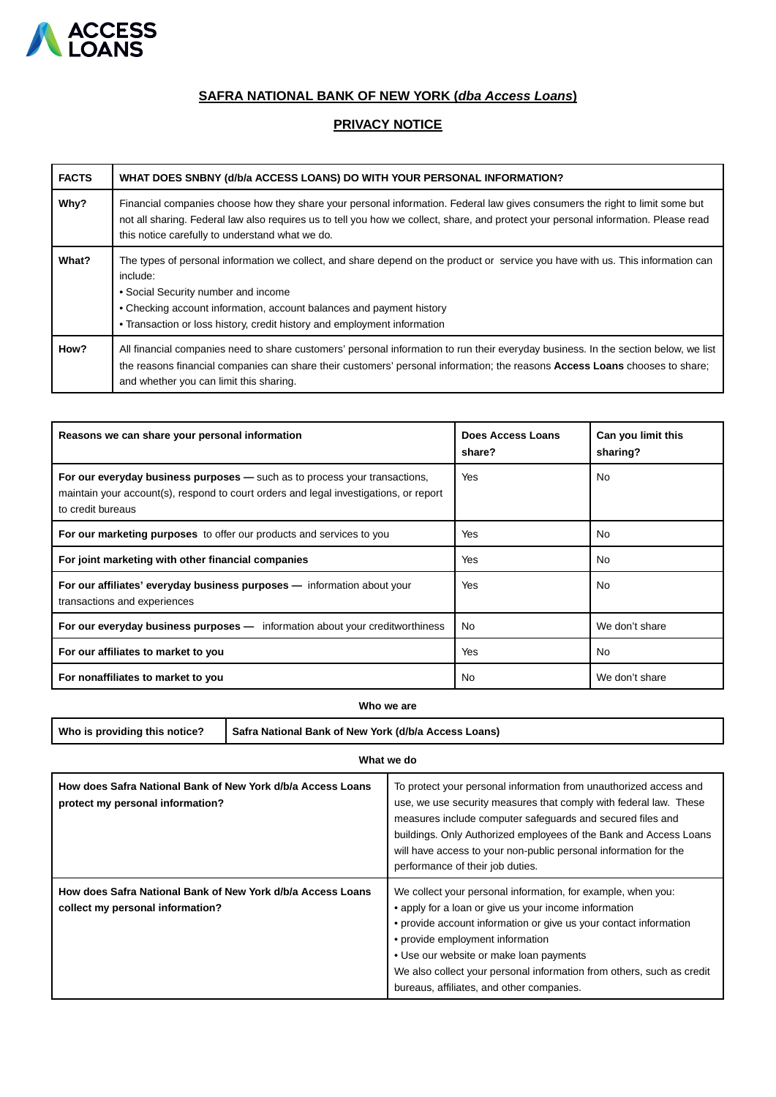

# **SAFRA NATIONAL BANK OF NEW YORK (dba Access Loans)**

## **PRIVACY NOTICE**

| <b>FACTS</b> | WHAT DOES SNBNY (d/b/a ACCESS LOANS) DO WITH YOUR PERSONAL INFORMATION?                                                                                                                                                                                                                                                                |
|--------------|----------------------------------------------------------------------------------------------------------------------------------------------------------------------------------------------------------------------------------------------------------------------------------------------------------------------------------------|
| Why?         | Financial companies choose how they share your personal information. Federal law gives consumers the right to limit some but<br>not all sharing. Federal law also requires us to tell you how we collect, share, and protect your personal information. Please read<br>this notice carefully to understand what we do.                 |
| What?        | The types of personal information we collect, and share depend on the product or service you have with us. This information can<br>include:<br>• Social Security number and income<br>• Checking account information, account balances and payment history<br>• Transaction or loss history, credit history and employment information |
| How?         | All financial companies need to share customers' personal information to run their everyday business. In the section below, we list<br>the reasons financial companies can share their customers' personal information; the reasons Access Loans chooses to share;<br>and whether you can limit this sharing.                          |

| Reasons we can share your personal information                                                                                                                                           | Does Access Loans<br>share? | Can you limit this<br>sharing? |
|------------------------------------------------------------------------------------------------------------------------------------------------------------------------------------------|-----------------------------|--------------------------------|
| For our everyday business purposes – such as to process your transactions,<br>maintain your account(s), respond to court orders and legal investigations, or report<br>to credit bureaus | Yes                         | No.                            |
| For our marketing purposes to offer our products and services to you                                                                                                                     | Yes                         | No.                            |
| For joint marketing with other financial companies                                                                                                                                       | Yes                         | No.                            |
| For our affiliates' everyday business purposes - information about your<br>transactions and experiences                                                                                  | Yes                         | No.                            |
| <b>For our everyday business purposes —</b> information about your creditworthiness                                                                                                      | No.                         | We don't share                 |
| For our affiliates to market to you                                                                                                                                                      | Yes                         | <b>No</b>                      |
| For nonaffiliates to market to you                                                                                                                                                       | No                          | We don't share                 |

**Who we are**

Who is providing this notice? **Safra National Bank of New York (d/b/a Access Loans)** 

| What we do                                                                                      |                                                                                                                                                                                                                                                                                                                                                                                                 |  |  |  |
|-------------------------------------------------------------------------------------------------|-------------------------------------------------------------------------------------------------------------------------------------------------------------------------------------------------------------------------------------------------------------------------------------------------------------------------------------------------------------------------------------------------|--|--|--|
| How does Safra National Bank of New York d/b/a Access Loans<br>protect my personal information? | To protect your personal information from unauthorized access and<br>use, we use security measures that comply with federal law. These<br>measures include computer safeguards and secured files and<br>buildings. Only Authorized employees of the Bank and Access Loans<br>will have access to your non-public personal information for the<br>performance of their job duties.               |  |  |  |
| How does Safra National Bank of New York d/b/a Access Loans<br>collect my personal information? | We collect your personal information, for example, when you:<br>• apply for a loan or give us your income information<br>• provide account information or give us your contact information<br>• provide employment information<br>• Use our website or make loan payments<br>We also collect your personal information from others, such as credit<br>bureaus, affiliates, and other companies. |  |  |  |